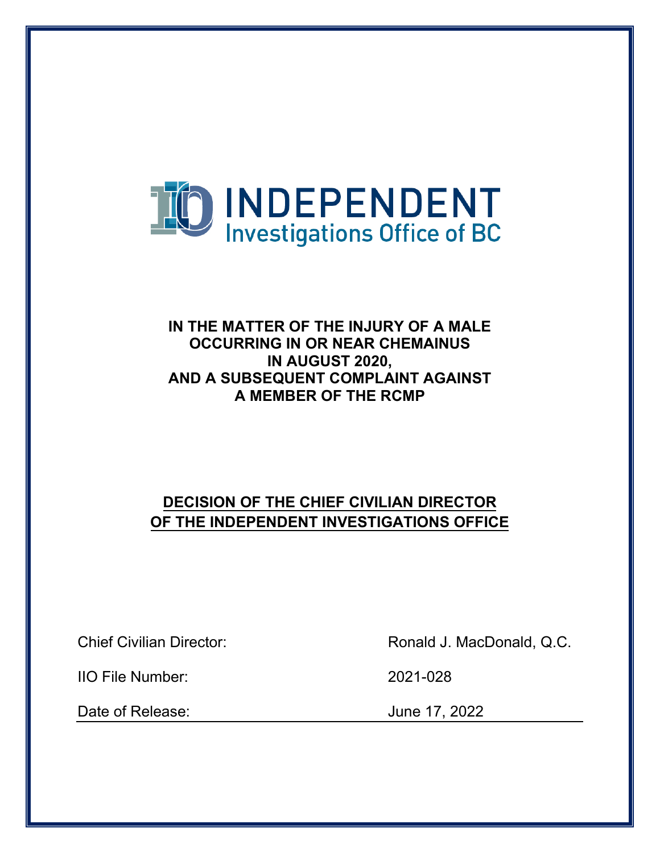

#### **IN THE MATTER OF THE INJURY OF A MALE OCCURRING IN OR NEAR CHEMAINUS IN AUGUST 2020, AND A SUBSEQUENT COMPLAINT AGAINST A MEMBER OF THE RCMP**

# **DECISION OF THE CHIEF CIVILIAN DIRECTOR OF THE INDEPENDENT INVESTIGATIONS OFFICE**

IIO File Number: 2021-028

Date of Release: June 17, 2022

Chief Civilian Director: Ronald J. MacDonald, Q.C.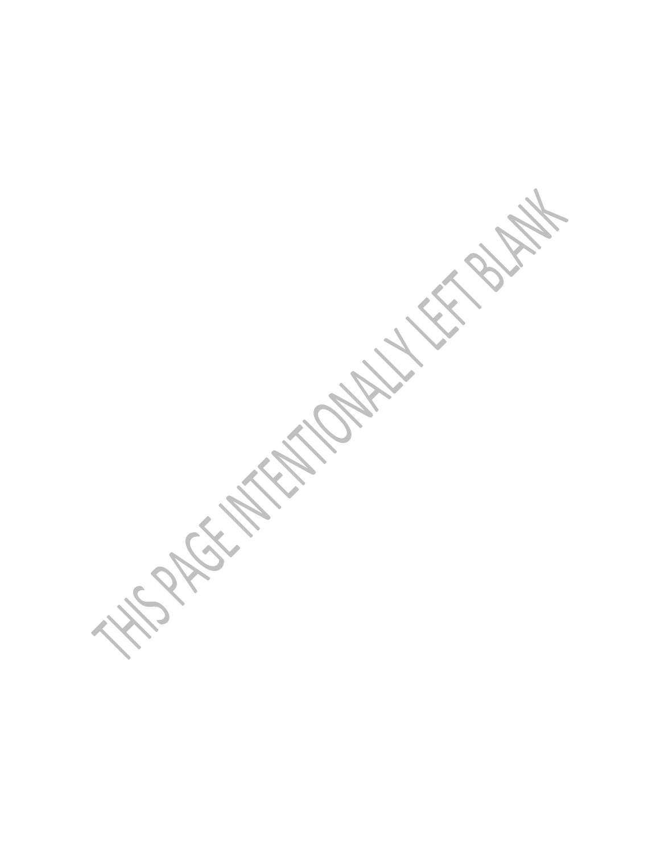Hispanish Maritim River Button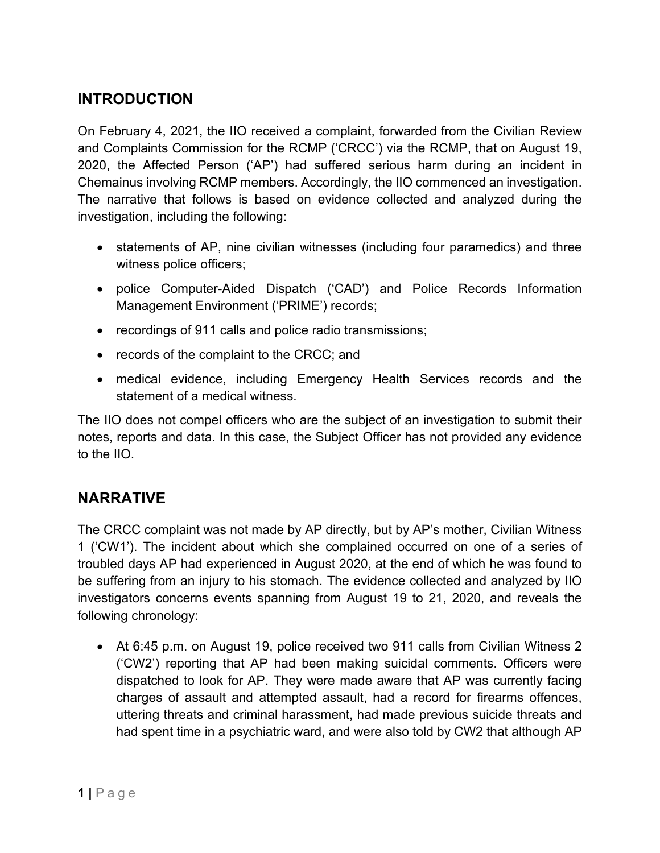### **INTRODUCTION**

On February 4, 2021, the IIO received a complaint, forwarded from the Civilian Review and Complaints Commission for the RCMP ('CRCC') via the RCMP, that on August 19, 2020, the Affected Person ('AP') had suffered serious harm during an incident in Chemainus involving RCMP members. Accordingly, the IIO commenced an investigation. The narrative that follows is based on evidence collected and analyzed during the investigation, including the following:

- statements of AP, nine civilian witnesses (including four paramedics) and three witness police officers;
- police Computer-Aided Dispatch ('CAD') and Police Records Information Management Environment ('PRIME') records;
- recordings of 911 calls and police radio transmissions;
- records of the complaint to the CRCC; and
- medical evidence, including Emergency Health Services records and the statement of a medical witness.

The IIO does not compel officers who are the subject of an investigation to submit their notes, reports and data. In this case, the Subject Officer has not provided any evidence to the IIO.

### **NARRATIVE**

The CRCC complaint was not made by AP directly, but by AP's mother, Civilian Witness 1 ('CW1'). The incident about which she complained occurred on one of a series of troubled days AP had experienced in August 2020, at the end of which he was found to be suffering from an injury to his stomach. The evidence collected and analyzed by IIO investigators concerns events spanning from August 19 to 21, 2020, and reveals the following chronology:

• At 6:45 p.m. on August 19, police received two 911 calls from Civilian Witness 2 ('CW2') reporting that AP had been making suicidal comments. Officers were dispatched to look for AP. They were made aware that AP was currently facing charges of assault and attempted assault, had a record for firearms offences, uttering threats and criminal harassment, had made previous suicide threats and had spent time in a psychiatric ward, and were also told by CW2 that although AP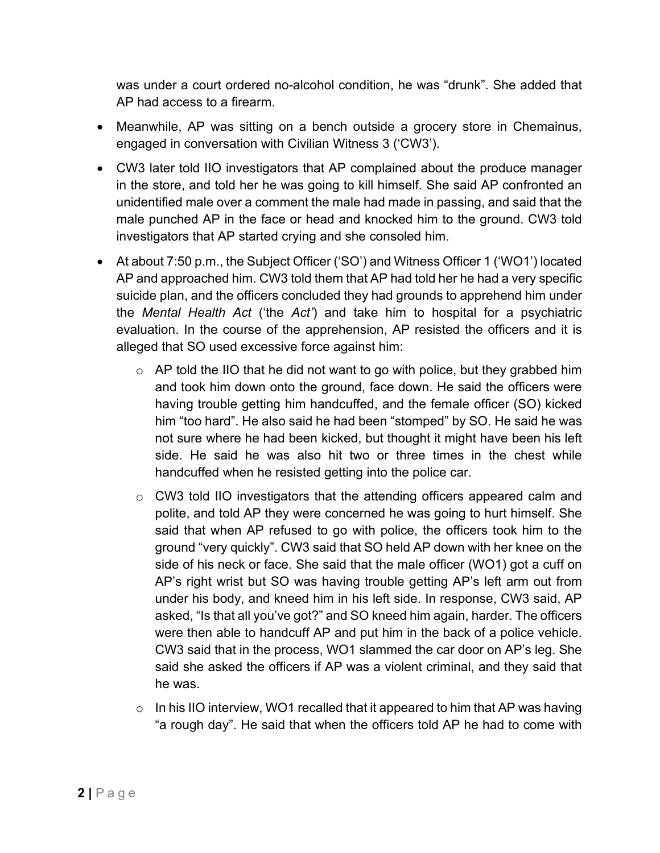was under a court ordered no-alcohol condition, he was "drunk". She added that AP had access to a firearm.

- Meanwhile, AP was sitting on a bench outside a grocery store in Chemainus, engaged in conversation with Civilian Witness 3 ('CW3').
- CW3 later told IIO investigators that AP complained about the produce manager in the store, and told her he was going to kill himself. She said AP confronted an unidentified male over a comment the male had made in passing, and said that the male punched AP in the face or head and knocked him to the ground. CW3 told investigators that AP started crying and she consoled him.
- At about 7:50 p.m., the Subject Officer ('SO') and Witness Officer 1 ('WO1') located AP and approached him. CW3 told them that AP had told her he had a very specific suicide plan, and the officers concluded they had grounds to apprehend him under the *Mental Health Act* ('the *Act'*) and take him to hospital for a psychiatric evaluation. In the course of the apprehension, AP resisted the officers and it is alleged that SO used excessive force against him:
	- $\circ$  AP told the IIO that he did not want to go with police, but they grabbed him and took him down onto the ground, face down. He said the officers were having trouble getting him handcuffed, and the female officer (SO) kicked him "too hard". He also said he had been "stomped" by SO. He said he was not sure where he had been kicked, but thought it might have been his left side. He said he was also hit two or three times in the chest while handcuffed when he resisted getting into the police car.
	- $\circ$  CW3 told IIO investigators that the attending officers appeared calm and polite, and told AP they were concerned he was going to hurt himself. She said that when AP refused to go with police, the officers took him to the ground "very quickly". CW3 said that SO held AP down with her knee on the side of his neck or face. She said that the male officer (WO1) got a cuff on AP's right wrist but SO was having trouble getting AP's left arm out from under his body, and kneed him in his left side. In response, CW3 said, AP asked, "Is that all you've got?" and SO kneed him again, harder. The officers were then able to handcuff AP and put him in the back of a police vehicle. CW3 said that in the process, WO1 slammed the car door on AP's leg. She said she asked the officers if AP was a violent criminal, and they said that he was.
	- $\circ$  In his IIO interview, WO1 recalled that it appeared to him that AP was having "a rough day". He said that when the officers told AP he had to come with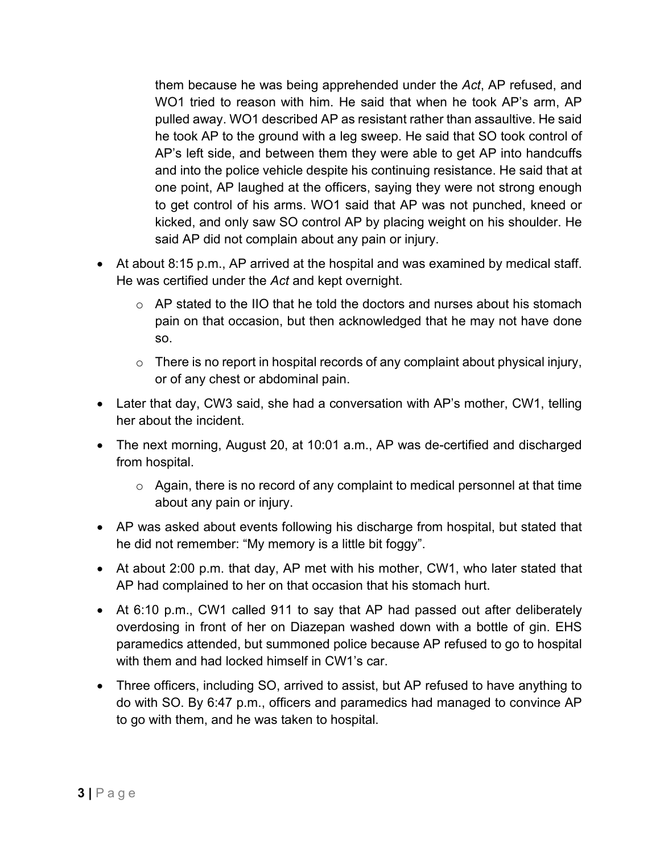them because he was being apprehended under the *Act*, AP refused, and WO1 tried to reason with him. He said that when he took AP's arm, AP pulled away. WO1 described AP as resistant rather than assaultive. He said he took AP to the ground with a leg sweep. He said that SO took control of AP's left side, and between them they were able to get AP into handcuffs and into the police vehicle despite his continuing resistance. He said that at one point, AP laughed at the officers, saying they were not strong enough to get control of his arms. WO1 said that AP was not punched, kneed or kicked, and only saw SO control AP by placing weight on his shoulder. He said AP did not complain about any pain or injury.

- At about 8:15 p.m., AP arrived at the hospital and was examined by medical staff. He was certified under the *Act* and kept overnight.
	- o AP stated to the IIO that he told the doctors and nurses about his stomach pain on that occasion, but then acknowledged that he may not have done so.
	- $\circ$  There is no report in hospital records of any complaint about physical injury, or of any chest or abdominal pain.
- Later that day, CW3 said, she had a conversation with AP's mother, CW1, telling her about the incident.
- The next morning, August 20, at 10:01 a.m., AP was de-certified and discharged from hospital.
	- $\circ$  Again, there is no record of any complaint to medical personnel at that time about any pain or injury.
- AP was asked about events following his discharge from hospital, but stated that he did not remember: "My memory is a little bit foggy".
- At about 2:00 p.m. that day, AP met with his mother, CW1, who later stated that AP had complained to her on that occasion that his stomach hurt.
- At 6:10 p.m., CW1 called 911 to say that AP had passed out after deliberately overdosing in front of her on Diazepan washed down with a bottle of gin. EHS paramedics attended, but summoned police because AP refused to go to hospital with them and had locked himself in CW1's car.
- Three officers, including SO, arrived to assist, but AP refused to have anything to do with SO. By 6:47 p.m., officers and paramedics had managed to convince AP to go with them, and he was taken to hospital.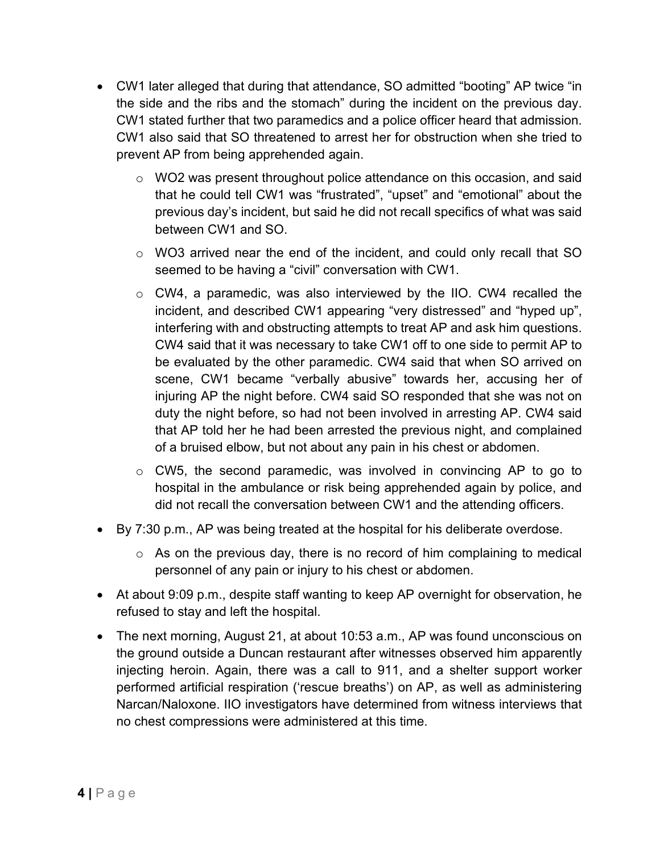- CW1 later alleged that during that attendance, SO admitted "booting" AP twice "in the side and the ribs and the stomach" during the incident on the previous day. CW1 stated further that two paramedics and a police officer heard that admission. CW1 also said that SO threatened to arrest her for obstruction when she tried to prevent AP from being apprehended again.
	- o WO2 was present throughout police attendance on this occasion, and said that he could tell CW1 was "frustrated", "upset" and "emotional" about the previous day's incident, but said he did not recall specifics of what was said between CW1 and SO.
	- o WO3 arrived near the end of the incident, and could only recall that SO seemed to be having a "civil" conversation with CW1.
	- $\circ$  CW4, a paramedic, was also interviewed by the IIO. CW4 recalled the incident, and described CW1 appearing "very distressed" and "hyped up", interfering with and obstructing attempts to treat AP and ask him questions. CW4 said that it was necessary to take CW1 off to one side to permit AP to be evaluated by the other paramedic. CW4 said that when SO arrived on scene, CW1 became "verbally abusive" towards her, accusing her of injuring AP the night before. CW4 said SO responded that she was not on duty the night before, so had not been involved in arresting AP. CW4 said that AP told her he had been arrested the previous night, and complained of a bruised elbow, but not about any pain in his chest or abdomen.
	- o CW5, the second paramedic, was involved in convincing AP to go to hospital in the ambulance or risk being apprehended again by police, and did not recall the conversation between CW1 and the attending officers.
- By 7:30 p.m., AP was being treated at the hospital for his deliberate overdose.
	- $\circ$  As on the previous day, there is no record of him complaining to medical personnel of any pain or injury to his chest or abdomen.
- At about 9:09 p.m., despite staff wanting to keep AP overnight for observation, he refused to stay and left the hospital.
- The next morning, August 21, at about 10:53 a.m., AP was found unconscious on the ground outside a Duncan restaurant after witnesses observed him apparently injecting heroin. Again, there was a call to 911, and a shelter support worker performed artificial respiration ('rescue breaths') on AP, as well as administering Narcan/Naloxone. IIO investigators have determined from witness interviews that no chest compressions were administered at this time.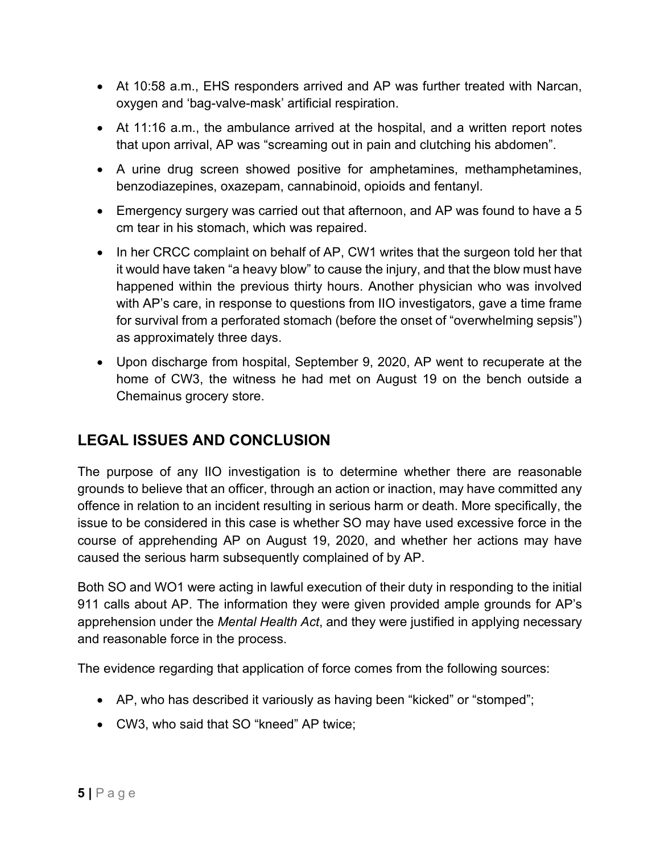- At 10:58 a.m., EHS responders arrived and AP was further treated with Narcan, oxygen and 'bag-valve-mask' artificial respiration.
- At 11:16 a.m., the ambulance arrived at the hospital, and a written report notes that upon arrival, AP was "screaming out in pain and clutching his abdomen".
- A urine drug screen showed positive for amphetamines, methamphetamines, benzodiazepines, oxazepam, cannabinoid, opioids and fentanyl.
- Emergency surgery was carried out that afternoon, and AP was found to have a 5 cm tear in his stomach, which was repaired.
- In her CRCC complaint on behalf of AP, CW1 writes that the surgeon told her that it would have taken "a heavy blow" to cause the injury, and that the blow must have happened within the previous thirty hours. Another physician who was involved with AP's care, in response to questions from IIO investigators, gave a time frame for survival from a perforated stomach (before the onset of "overwhelming sepsis") as approximately three days.
- Upon discharge from hospital, September 9, 2020, AP went to recuperate at the home of CW3, the witness he had met on August 19 on the bench outside a Chemainus grocery store.

# **LEGAL ISSUES AND CONCLUSION**

The purpose of any IIO investigation is to determine whether there are reasonable grounds to believe that an officer, through an action or inaction, may have committed any offence in relation to an incident resulting in serious harm or death. More specifically, the issue to be considered in this case is whether SO may have used excessive force in the course of apprehending AP on August 19, 2020, and whether her actions may have caused the serious harm subsequently complained of by AP.

Both SO and WO1 were acting in lawful execution of their duty in responding to the initial 911 calls about AP. The information they were given provided ample grounds for AP's apprehension under the *Mental Health Act*, and they were justified in applying necessary and reasonable force in the process.

The evidence regarding that application of force comes from the following sources:

- AP, who has described it variously as having been "kicked" or "stomped";
- CW3, who said that SO "kneed" AP twice;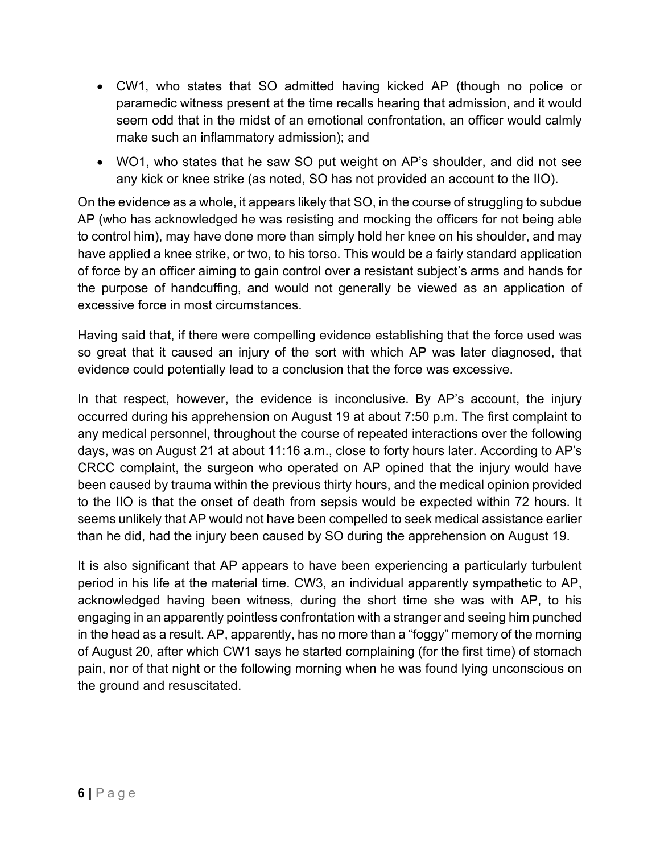- CW1, who states that SO admitted having kicked AP (though no police or paramedic witness present at the time recalls hearing that admission, and it would seem odd that in the midst of an emotional confrontation, an officer would calmly make such an inflammatory admission); and
- WO1, who states that he saw SO put weight on AP's shoulder, and did not see any kick or knee strike (as noted, SO has not provided an account to the IIO).

On the evidence as a whole, it appears likely that SO, in the course of struggling to subdue AP (who has acknowledged he was resisting and mocking the officers for not being able to control him), may have done more than simply hold her knee on his shoulder, and may have applied a knee strike, or two, to his torso. This would be a fairly standard application of force by an officer aiming to gain control over a resistant subject's arms and hands for the purpose of handcuffing, and would not generally be viewed as an application of excessive force in most circumstances.

Having said that, if there were compelling evidence establishing that the force used was so great that it caused an injury of the sort with which AP was later diagnosed, that evidence could potentially lead to a conclusion that the force was excessive.

In that respect, however, the evidence is inconclusive. By AP's account, the injury occurred during his apprehension on August 19 at about 7:50 p.m. The first complaint to any medical personnel, throughout the course of repeated interactions over the following days, was on August 21 at about 11:16 a.m., close to forty hours later. According to AP's CRCC complaint, the surgeon who operated on AP opined that the injury would have been caused by trauma within the previous thirty hours, and the medical opinion provided to the IIO is that the onset of death from sepsis would be expected within 72 hours. It seems unlikely that AP would not have been compelled to seek medical assistance earlier than he did, had the injury been caused by SO during the apprehension on August 19.

It is also significant that AP appears to have been experiencing a particularly turbulent period in his life at the material time. CW3, an individual apparently sympathetic to AP, acknowledged having been witness, during the short time she was with AP, to his engaging in an apparently pointless confrontation with a stranger and seeing him punched in the head as a result. AP, apparently, has no more than a "foggy" memory of the morning of August 20, after which CW1 says he started complaining (for the first time) of stomach pain, nor of that night or the following morning when he was found lying unconscious on the ground and resuscitated.